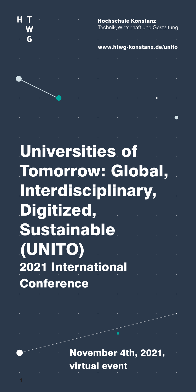

# Universities of Tomorrow: Global, Interdisciplinary, Digitized, **Sustainable** (UNITO) 2021 International **Conference**

November 4th, 2021, virtual event

1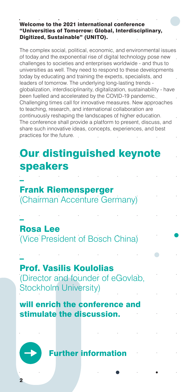### Welcome to the 2021 international conference "Universities of Tomorrow: Global, Interdisciplinary, Digitized, Sustainable" (UNITO).

The complex social, political, economic, and environmental issues of today and the exponential rise of digital technology pose new challenges to societies and enterprises worldwide - and thus to universities as well. They need to respond to these developments today by educating and training the experts, specialists, and leaders of tomorrow. The underlying long-lasting trends globalization, interdisciplinarity, digitalization, sustainability - have been fuelled and accelerated by the COVID-19 pandemic. Challenging times call for innovative measures. New approaches to teaching, research, and international collaboration are continuously reshaping the landscapes of higher education. The conference shall provide a platform to present, discuss, and share such innovative ideas, concepts, experiences, and best practices for the future.

## Our distinguished keynote speakers

– Frank Riemensperger (Chairman Accenture Germany)

– Rosa Lee (Vice President of Bosch China)

– Prof. Vasilis Koulolias (Director and founder of eGovlab, Stockholm University)

will enrich the conference and stimulate the discussion.

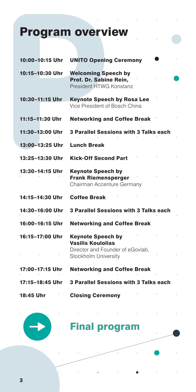## Program overview

| 10:00-10:15 Uhr | <b>UNITO Opening Ceremony</b>                                                                                    |
|-----------------|------------------------------------------------------------------------------------------------------------------|
| 10:15–10:30 Uhr | <b>Welcoming Speech by</b><br>Prof. Dr. Sabine Rein.<br>President HTWG Konstanz                                  |
| 10:30-11:15 Uhr | <b>Keynote Speech by Rosa Lee</b><br>Vice President of Bosch China                                               |
| 11:15-11:30 Uhr | <b>Networking and Coffee Break</b>                                                                               |
| 11:30–13:00 Uhr | 3 Parallel Sessions with 3 Talks each                                                                            |
| 13:00-13:25 Uhr | <b>Lunch Break</b>                                                                                               |
| 13:25-13:30 Uhr | <b>Kick-Off Second Part</b>                                                                                      |
| 13:30-14:15 Uhr | <b>Keynote Speech by</b><br><b>Frank Riemensperger</b><br>Chairman Accenture Germany                             |
| 14:15-14:30 Uhr | <b>Coffee Break</b>                                                                                              |
| 14:30-16:00 Uhr | 3 Parallel Sessions with 3 Talks each                                                                            |
| 16:00-16:15 Uhr | <b>Networking and Coffee Break</b>                                                                               |
| 16:15-17:00 Uhr | <b>Keynote Speech by</b><br><b>Vasilis Koulolias</b><br>Director and Founder of eGovlab,<br>Stockholm University |
| 17:00-17:15 Uhr | <b>Networking and Coffee Break</b>                                                                               |
| 17:15-18:45 Uhr | 3 Parallel Sessions with 3 Talks each                                                                            |
| 18:45 Uhr       | <b>Closing Ceremony</b>                                                                                          |



## [Final program](https://www.htwg-konstanz.de/hochschule/diverse-veranstaltungen/universities-of-tomorrow-global-interdisciplinary-digitized-sustainable-unito/program/)